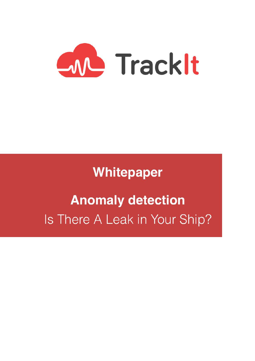

**Whitepaper** 

# **Anomaly detection** Is There A Leak in Your Ship?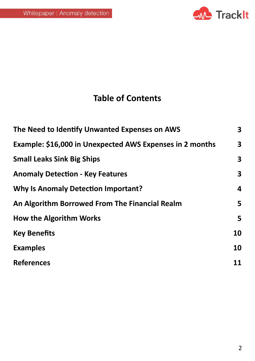

# **Table of Contents**

| The Need to Identify Unwanted Expenses on AWS            | 3 <sup>1</sup> |
|----------------------------------------------------------|----------------|
| Example: \$16,000 in Unexpected AWS Expenses in 2 months | 3 <sup>1</sup> |
| <b>Small Leaks Sink Big Ships</b>                        | $\mathbf{3}$   |
| <b>Anomaly Detection - Key Features</b>                  | 3 <sup>1</sup> |
| <b>Why Is Anomaly Detection Important?</b>               | 4              |
| An Algorithm Borrowed From The Financial Realm           | 5              |
| <b>How the Algorithm Works</b>                           | 5              |
| <b>Key Benefits</b>                                      | 10             |
| <b>Examples</b>                                          | 10             |
| <b>References</b>                                        | 11             |
|                                                          |                |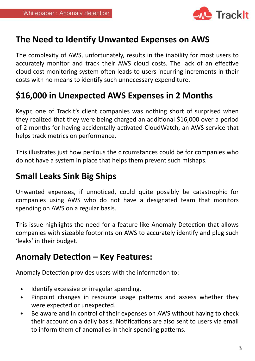

# **The Need to Identify Unwanted Expenses on AWS**

The complexity of AWS, unfortunately, results in the inability for most users to accurately monitor and track their AWS cloud costs. The lack of an effective cloud cost monitoring system often leads to users incurring increments in their costs with no means to identify such unnecessary expenditure.

# \$16,000 in Unexpected AWS Expenses in 2 Months

Keypr, one of TrackIt's client companies was nothing short of surprised when they realized that they were being charged an additional \$16,000 over a period of 2 months for having accidentally activated CloudWatch, an AWS service that helps track metrics on performance.

This illustrates just how perilous the circumstances could be for companies who do not have a system in place that helps them prevent such mishaps.

### **Small Leaks Sink Big Ships**

Unwanted expenses, if unnoticed, could quite possibly be catastrophic for companies using AWS who do not have a designated team that monitors spending on AWS on a regular basis.

This issue highlights the need for a feature like Anomaly Detection that allows companies with sizeable footprints on AWS to accurately identify and plug such 'leaks' in their budget.

## **Anomaly Detection - Key Features:**

Anomaly Detection provides users with the information to:

- Identify excessive or irregular spending.
- Pinpoint changes in resource usage patterns and assess whether they were expected or unexpected.
- Be aware and in control of their expenses on AWS without having to check their account on a daily basis. Notifications are also sent to users via email to inform them of anomalies in their spending patterns.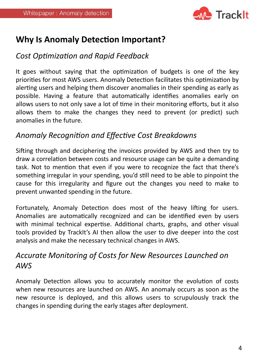

# **Why Is Anomaly Detection Important?**

**Cost Optimization and Rapid Feedback** 

It goes without saying that the optimization of budgets is one of the key priorities for most AWS users. Anomaly Detection facilitates this optimization by alerting users and helping them discover anomalies in their spending as early as possible. Having a feature that automatically identifies anomalies early on allows users to not only save a lot of time in their monitoring efforts, but it also allows them to make the changes they need to prevent (or predict) such anomalies in the future.

#### **Anomaly Recognition and Effective Cost Breakdowns**

Sifting through and deciphering the invoices provided by AWS and then try to draw a correlation between costs and resource usage can be quite a demanding task. Not to mention that even if you were to recognize the fact that there's something irregular in your spending, you'd still need to be able to pinpoint the cause for this irregularity and figure out the changes you need to make to prevent unwanted spending in the future.

Fortunately, Anomaly Detection does most of the heavy lifting for users. Anomalies are automatically recognized and can be identified even by users with minimal technical expertise. Additional charts, graphs, and other visual tools provided by TrackIt's AI then allow the user to dive deeper into the cost analysis and make the necessary technical changes in AWS.

# Accurate Monitoring of Costs for New Resources Launched on *AWS*

Anomaly Detection allows you to accurately monitor the evolution of costs when new resources are launched on AWS. An anomaly occurs as soon as the new resource is deployed, and this allows users to scrupulously track the changes in spending during the early stages after deployment.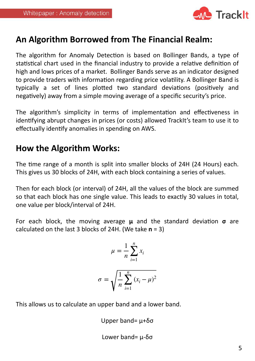

# An Algorithm Borrowed from The Financial Realm:

The algorithm for Anomaly Detection is based on Bollinger Bands, a type of statistical chart used in the financial industry to provide a relative definition of high and lows prices of a market. Bollinger Bands serve as an indicator designed to provide traders with information regarding price volatility. A Bollinger Band is typically a set of lines plotted two standard deviations (positively and negatively) away from a simple moving average of a specific security's price.

The algorithm's simplicity in terms of implementation and effectiveness in identifying abrupt changes in prices (or costs) allowed TrackIt's team to use it to effectually identify anomalies in spending on AWS.

# **How the Algorithm Works:**

The time range of a month is split into smaller blocks of 24H (24 Hours) each. This gives us 30 blocks of 24H, with each block containing a series of values.

Then for each block (or interval) of 24H, all the values of the block are summed so that each block has one single value. This leads to exactly 30 values in total, one value per block/interval of 24H.

For each block, the moving average **μ** and the standard deviation **σ** are calculated on the last 3 blocks of 24H. (We take  $n = 3$ )

$$
\mu = \frac{1}{n} \sum_{i=1}^{n} x_i
$$

$$
\sigma = \sqrt{\frac{1}{n} \sum_{i=1}^{n} (x_i - \mu)^2}
$$

This allows us to calculate an upper band and a lower band.

Upper band= μ+δσ

Lower band=  $\mu$ -δσ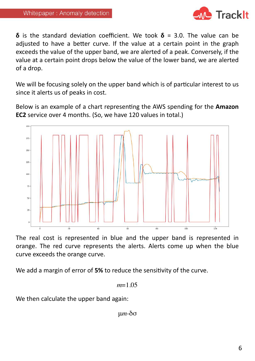

**δ** is the standard deviation coefficient. We took  $\delta$  = 3.0. The value can be adjusted to have a better curve. If the value at a certain point in the graph exceeds the value of the upper band, we are alerted of a peak. Conversely, if the value at a certain point drops below the value of the lower band, we are alerted of a drop.

We will be focusing solely on the upper band which is of particular interest to us since it alerts us of peaks in cost.

Below is an example of a chart representing the AWS spending for the **Amazon EC2** service over 4 months. (So, we have 120 values in total.)



The real cost is represented in blue and the upper band is represented in orange. The red curve represents the alerts. Alerts come up when the blue curve exceeds the orange curve.

We add a margin of error of 5% to reduce the sensitivity of the curve.

$$
m=1.05
$$

We then calculate the upper band again:

μ*m*-δσ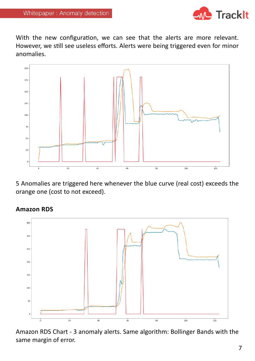

With the new configuration, we can see that the alerts are more relevant. However, we still see useless efforts. Alerts were being triggered even for minor anomalies.



5 Anomalies are triggered here whenever the blue curve (real cost) exceeds the orange one (cost to not exceed).



**Amazon RDS**

Amazon RDS Chart - 3 anomaly alerts. Same algorithm: Bollinger Bands with the same margin of error.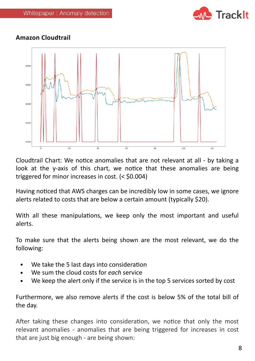

#### **Amazon Cloudtrail**



Cloudtrail Chart: We notice anomalies that are not relevant at all - by taking a look at the y-axis of this chart, we notice that these anomalies are being triggered for minor increases in cost.  $(<$  \$0.004)

Having noticed that AWS charges can be incredibly low in some cases, we ignore alerts related to costs that are below a certain amount (typically \$20).

With all these manipulations, we keep only the most important and useful alerts. 

To make sure that the alerts being shown are the most relevant, we do the following: 

- We take the 5 last days into consideration
- We sum the cloud costs for *each* service
- We keep the alert only if the service is in the top 5 services sorted by cost

Furthermore, we also remove alerts if the cost is below 5% of the total bill of the day.

After taking these changes into consideration, we notice that only the most relevant anomalies - anomalies that are being triggered for increases in cost that are just big enough - are being shown: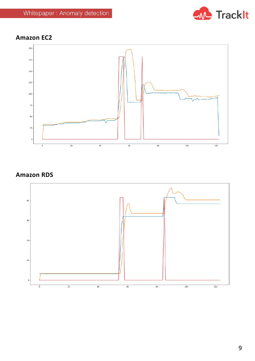

#### **Amazon EC2**



#### **Amazon RDS**

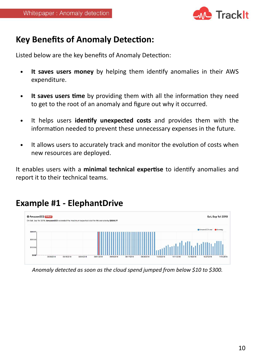

# **Key Benefits of Anomaly Detection:**

Listed below are the key benefits of Anomaly Detection:

- It saves users money by helping them identify anomalies in their AWS expenditure.
- It saves users time by providing them with all the information they need to get to the root of an anomaly and figure out why it occurred.
- It helps users **identify unexpected costs** and provides them with the information needed to prevent these unnecessary expenses in the future.
- It allows users to accurately track and monitor the evolution of costs when new resources are deployed.

It enables users with a minimal technical expertise to identify anomalies and report it to their technical teams.

# **Example #1 - ElephantDrive**



Anomaly detected as soon as the cloud spend jumped from below \$10 to \$300.